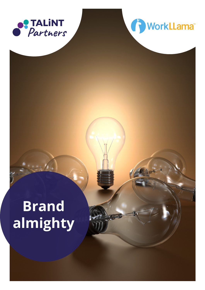



# **Brand almighty**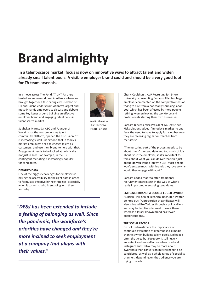## **Brand almighty**

**In a talent-scarce market, focus is now on innovative ways to attract talent and widen already small talent pools. A visible employer brand could and should be a very good tool for TA team arsenals.** 

In a move across The Pond, TALiNT Partners hosted an in-person dinner in Atlanta where we brought together a fascinating cross section of HR and Talent leaders from Atlanta's largest and most dynamic employers to discuss and debate some key issues around building an effective employer brand and engaging talent pools in talent scarce market.

Sudhakar Maruvada, CEO and Founder of WorkLlama, the comprehensive talent community platform, opened the discussion: "It is increasingly well-understood that in today's market employers need to engage talent as customers, and use their brand to help with that. Engagement needs to be looked at holistically, not just in silos. For example, in the US, contingent recruiting is increasingly popular for candidates."

## **DETAILED DATA**

One of the biggest challenges for employers is having the accessibility to the right data in order to formulate effective hiring strategies, especially when it comes to who is engaging with them and why.

*"DE&I has been extended to include a feeling of belonging as well. Since the pandemic, the workforce's priorities have changed and they're more inclined to seek employment at a company that aligns with their values."*



Ken Brotherston Chief Executive TALiNT Partners

Cheryl Coulthurst, AVP Recruiting for Emory University representing Emory – Atlanta's largest employer commented on the competitiveness of trying to hire from a noticeably shrinking labor pool which has been affected by more people retiring, women leaving the workforce and professionals starting their own businesses.

Barbara Blevens, Vice President TA, LexisNexis Risk Solutions added: "In today's market no one feels the need to have to apply for a job because they are receiving regular outreaches from recruiters."

"The nurturing part of the process needs to be about 'them' the candidate and too much of it is about 'you' the employer, so it's important to think about what you can deliver that isn't just about 'do you want a job with us?' Most people won't engage much with brands they love so why would they engage with you?"

Barbara added that too often traditional recruitment metrics get in the way of what's really important in engaging candidates.

## **EMPLOYER BRAND: A DOUBLE EDGED SWORD**

As Brian Fink, Senior Technical Recruiter, Twitter pointed out: "A proportion of candidates will view a brand like Twitter through a political lens and may be less likely to want to work there, whereas a lesser-known brand has fewer preconceptions…"

### **THE SOCIAL FACTOR**

Do not underestimate the importance of continued evaluation of different social media channels when building talent pools. LinkedIn is often the go-to but Facebook is still hugely important and very effective when used well. Instagram and TikTok may be more about awareness than conversion but still need to be considered, as well as a whole range of specialist channels, depending on the audience you are trying to reach.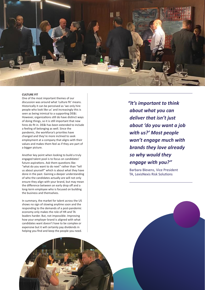

### **CULTURE FIT**

One of the most important themes of our discussion was around what 'culture fit' means. Historically it can be perceived as 'we only hire people who look like us' and increasingly this is seen as being inimical to a supporting DE&I. However, organizations still do have distinct ways of doing things, so it is still important that new hires do fit in. DE&I has been extended to include a feeling of belonging as well. Since the pandemic, the workforce's priorities have changed and they're more inclined to seek employment at a company that aligns with their values and makes them feel as if they are part of a bigger picture.

Another key point when looking to build a truly engaged talent pool is to focus on candidates' future aspirations. Ask them questions like: "what do you want to do next" rather than "tell us about yourself" which is about what they have done in the past. Gaining a deeper understanding of who the candidates actually are will not only ensure they align with your brand, but may mean the difference between an early drop off and a long-term employee who is focused on building the business and themselves.

In summary, the market for talent across the US shows no sign of slowing anytime soon and the responding to the demands of a post-pandemic economy only makes the role of HR and TA leaders harder. But, not impossible. Improving how your employer brand is aligned with what candidates want doesn't have to be complex or expensive but it will certainly pay dividends in helping you find and keep the people you need.

*"It's important to think about what you can deliver that isn't just about 'do you want a job with us?' Most people won't engage much with brands they love already so why would they engage with you?"*

Barbara Blevens, Vice President TA, LexisNexis Risk Solutions